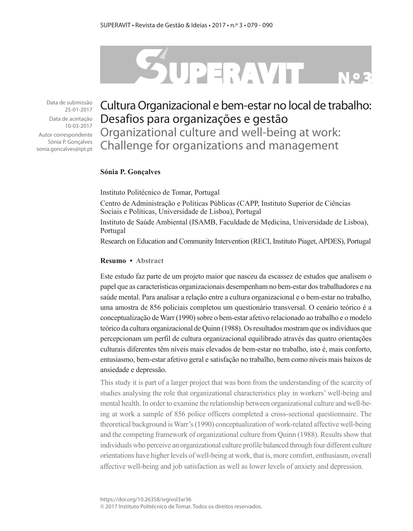# SUPERAVIT

Data de submissão 25-01-2017

Data de aceitação 10-03-2017

Autor correspondente Sónia P. Gonçalves sonia.goncalves@ipt.pt

# Cultura Organizacional e bem-estar no local de trabalho: Desafios para organizações e gestão

Organizational culture and well-being at work: Challenge for organizations and management

#### **Sónia P. Gonçalves**

Instituto Politécnico de Tomar, Portugal

Centro de Administração e Políticas Públicas (CAPP, Instituto Superior de Ciências Sociais e Políticas, Universidade de Lisboa), Portugal

Instituto de Saúde Ambiental (ISAMB, Faculdade de Medicina, Universidade de Lisboa), Portugal

Research on Education and Community Intervention (RECI, Instituto Piaget, APDES), Portugal

#### **Resumo • Abstract**

Este estudo faz parte de um projeto maior que nasceu da escassez de estudos que analisem o papel que as características organizacionais desempenham no bem-estar dos trabalhadores e na saúde mental. Para analisar a relação entre a cultura organizacional e o bem-estar no trabalho, uma amostra de 856 policiais completou um questionário transversal. O cenário teórico é a conceptualização de Warr (1990) sobre o bem-estar afetivo relacionado ao trabalho e o modelo teórico da cultura organizacional de Quinn (1988). Os resultados mostram que os indivíduos que percepcionam um perfil de cultura organizacional equilibrado através das quatro orientações culturais diferentes têm níveis mais elevados de bem-estar no trabalho, isto é, mais conforto, entusiasmo, bem-estar afetivo geral e satisfação no trabalho, bem como níveis mais baixos de ansiedade e depressão.

This study it is part of a larger project that was born from the understanding of the scarcity of studies analysing the role that organizational characteristics play in workers' well-being and mental health. In order to examine the relationship between organizational culture and well-being at work a sample of 856 police officers completed a cross-sectional questionnaire. The theoretical background is Warr's (1990) conceptualization of work-related affective well-being and the competing framework of organizational culture from Quinn (1988). Results show that individuals who perceive an organizational culture profile balanced through four different culture orientations have higher levels of well-being at work, that is, more comfort, enthusiasm, overall affective well-being and job satisfaction as well as lower levels of anxiety and depression.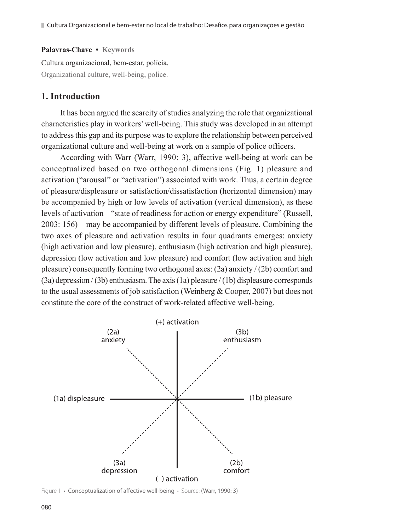#### **Palavras-Chave • Keywords**

Cultura organizacional, bem-estar, polícia. Organizational culture, well-being, police.

# **1. Introduction**

It has been argued the scarcity of studies analyzing the role that organizational characteristics play in workers' well-being. This study was developed in an attempt to address this gap and its purpose was to explore the relationship between perceived organizational culture and well-being at work on a sample of police officers.

According with Warr (Warr, 1990: 3), affective well-being at work can be conceptualized based on two orthogonal dimensions (Fig. 1) pleasure and activation ("arousal" or "activation") associated with work. Thus, a certain degree of pleasure/displeasure or satisfaction/dissatisfaction (horizontal dimension) may be accompanied by high or low levels of activation (vertical dimension), as these levels of activation – "state of readiness for action or energy expenditure" (Russell, 2003: 156) – may be accompanied by different levels of pleasure. Combining the two axes of pleasure and activation results in four quadrants emerges: anxiety (high activation and low pleasure), enthusiasm (high activation and high pleasure), depression (low activation and low pleasure) and comfort (low activation and high pleasure) consequently forming two orthogonal axes: (2a) anxiety / (2b) comfort and (3a) depression / (3b) enthusiasm. The axis (1a) pleasure / (1b) displeasure corresponds to the usual assessments of job satisfaction (Weinberg & Cooper, 2007) but does not constitute the core of the construct of work-related affective well-being.



Figure 1 **·** Conceptualization of affective well-being **·** Source: (Warr, 1990: 3)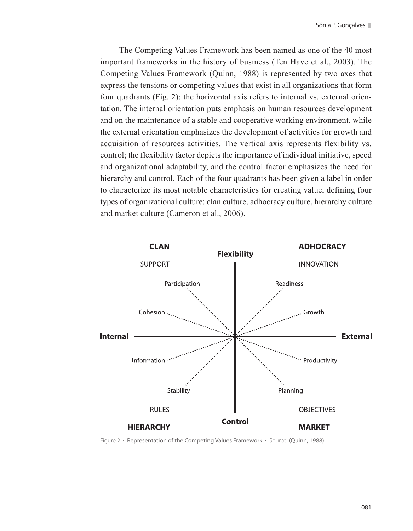The Competing Values Framework has been named as one of the 40 most important frameworks in the history of business (Ten Have et al., 2003). The Competing Values Framework (Quinn, 1988) is represented by two axes that express the tensions or competing values that exist in all organizations that form four quadrants (Fig. 2): the horizontal axis refers to internal vs. external orientation. The internal orientation puts emphasis on human resources development and on the maintenance of a stable and cooperative working environment, while the external orientation emphasizes the development of activities for growth and acquisition of resources activities. The vertical axis represents flexibility vs. control; the flexibility factor depicts the importance of individual initiative, speed and organizational adaptability, and the control factor emphasizes the need for hierarchy and control. Each of the four quadrants has been given a label in order to characterize its most notable characteristics for creating value, defining four types of organizational culture: clan culture, adhocracy culture, hierarchy culture and market culture (Cameron et al., 2006).



Figure 2 **·** Representation of the Competing Values Framework **·** Source: (Quinn, 1988)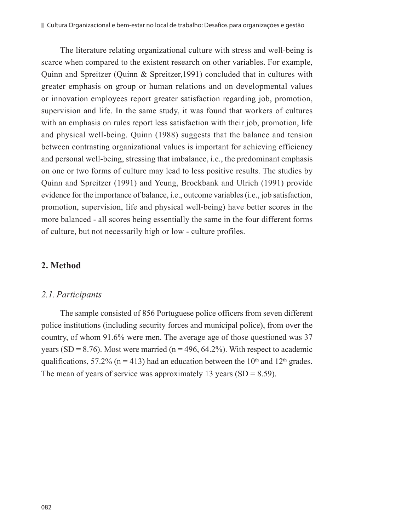The literature relating organizational culture with stress and well-being is scarce when compared to the existent research on other variables. For example, Quinn and Spreitzer (Quinn & Spreitzer,1991) concluded that in cultures with greater emphasis on group or human relations and on developmental values or innovation employees report greater satisfaction regarding job, promotion, supervision and life. In the same study, it was found that workers of cultures with an emphasis on rules report less satisfaction with their job, promotion, life and physical well-being. Quinn (1988) suggests that the balance and tension between contrasting organizational values is important for achieving efficiency and personal well-being, stressing that imbalance, i.e., the predominant emphasis on one or two forms of culture may lead to less positive results. The studies by Quinn and Spreitzer (1991) and Yeung, Brockbank and Ulrich (1991) provide evidence for the importance of balance, i.e., outcome variables (i.e., job satisfaction, promotion, supervision, life and physical well-being) have better scores in the more balanced - all scores being essentially the same in the four different forms of culture, but not necessarily high or low - culture profiles.

# **2. Method**

### *2.1. Participants*

The sample consisted of 856 Portuguese police officers from seven different police institutions (including security forces and municipal police), from over the country, of whom 91.6% were men. The average age of those questioned was 37 years (SD = 8.76). Most were married ( $n = 496, 64.2\%$ ). With respect to academic qualifications, 57.2% ( $n = 413$ ) had an education between the 10<sup>th</sup> and 12<sup>th</sup> grades. The mean of years of service was approximately 13 years  $(SD = 8.59)$ .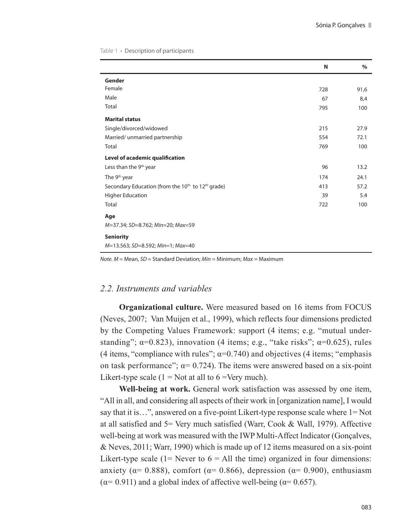Table 1 **·** Description of participants

|                                                                           | N   | %    |
|---------------------------------------------------------------------------|-----|------|
| Gender                                                                    |     |      |
| Female                                                                    | 728 | 91,6 |
| Male                                                                      | 67  | 8,4  |
| Total                                                                     | 795 | 100  |
| <b>Marital status</b>                                                     |     |      |
| Single/divorced/widowed                                                   | 215 | 27.9 |
| Married/ unmarried partnership                                            | 554 | 72.1 |
| Total                                                                     | 769 | 100  |
| Level of academic qualification                                           |     |      |
| Less than the 9 <sup>th</sup> year                                        | 96  | 13.2 |
| The 9 <sup>th</sup> year                                                  | 174 | 24.1 |
| Secondary Education (from the 10 <sup>th</sup> to 12 <sup>th</sup> grade) | 413 | 57.2 |
| <b>Higher Education</b>                                                   | 39  | 5.4  |
| Total                                                                     | 722 | 100  |
| Age                                                                       |     |      |
| M=37.34; SD=8.762; Min=20; Max=59                                         |     |      |
| <b>Seniority</b>                                                          |     |      |
| M=13.563; SD=8.592; Min=1; Max=40                                         |     |      |

*Note. M* = Mean, *SD* = Standard Deviation; *Min* = Minimum; *Max* = Maximum

# *2.2. Instruments and variables*

**Organizational culture.** Were measured based on 16 items from FOCUS (Neves, 2007; Van Muijen et al., 1999), which reflects four dimensions predicted by the Competing Values Framework: support (4 items; e.g. "mutual understanding";  $\alpha=0.823$ ), innovation (4 items; e.g., "take risks";  $\alpha=0.625$ ), rules (4 items, "compliance with rules";  $\alpha$ =0.740) and objectives (4 items; "emphasis" on task performance";  $\alpha$  = 0.724). The items were answered based on a six-point Likert-type scale  $(1 = Not at all to 6 = Very much)$ .

**Well-being at work.** General work satisfaction was assessed by one item, "All in all, and considering all aspects of their work in [organization name], I would say that it is…", answered on a five-point Likert-type response scale where 1= Not at all satisfied and 5= Very much satisfied (Warr, Cook & Wall, 1979). Affective well-being at work was measured with the IWP Multi-Affect Indicator (Gonçalves, & Neves, 2011; Warr, 1990) which is made up of 12 items measured on a six-point Likert-type scale (1= Never to  $6 =$  All the time) organized in four dimensions: anxiety ( $\alpha$ = 0.888), comfort ( $\alpha$ = 0.866), depression ( $\alpha$ = 0.900), enthusiasm ( $\alpha$ = 0.911) and a global index of affective well-being ( $\alpha$ = 0.657).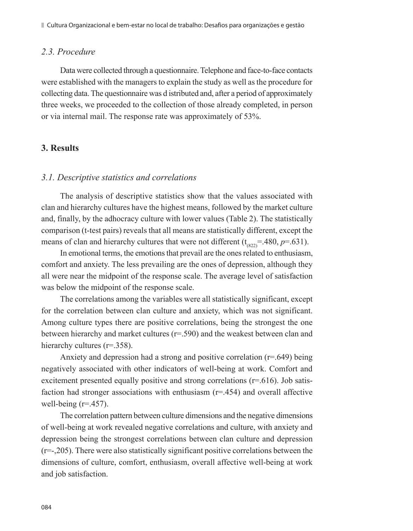#### *2.3. Procedure*

Data were collected through a questionnaire. Telephone and face-to-face contacts were established with the managers to explain the study as well as the procedure for collecting data. The questionnaire was d istributed and, after a period of approximately three weeks, we proceeded to the collection of those already completed, in person or via internal mail. The response rate was approximately of 53%.

# **3. Results**

#### *3.1. Descriptive statistics and correlations*

The analysis of descriptive statistics show that the values associated with clan and hierarchy cultures have the highest means, followed by the market culture and, finally, by the adhocracy culture with lower values (Table 2). The statistically comparison (t-test pairs) reveals that all means are statistically different, except the means of clan and hierarchy cultures that were not different  $(t_{(822)} = .480, p = .631)$ .

In emotional terms, the emotions that prevail are the ones related to enthusiasm, comfort and anxiety. The less prevailing are the ones of depression, although they all were near the midpoint of the response scale. The average level of satisfaction was below the midpoint of the response scale.

The correlations among the variables were all statistically significant, except for the correlation between clan culture and anxiety, which was not significant. Among culture types there are positive correlations, being the strongest the one between hierarchy and market cultures  $(r=.590)$  and the weakest between clan and hierarchy cultures (r=.358).

Anxiety and depression had a strong and positive correlation (r=.649) being negatively associated with other indicators of well-being at work. Comfort and excitement presented equally positive and strong correlations (r=.616). Job satisfaction had stronger associations with enthusiasm  $(r=454)$  and overall affective well-being  $(r=.457)$ .

The correlation pattern between culture dimensions and the negative dimensions of well-being at work revealed negative correlations and culture, with anxiety and depression being the strongest correlations between clan culture and depression (r=-,205). There were also statistically significant positive correlations between the dimensions of culture, comfort, enthusiasm, overall affective well-being at work and job satisfaction.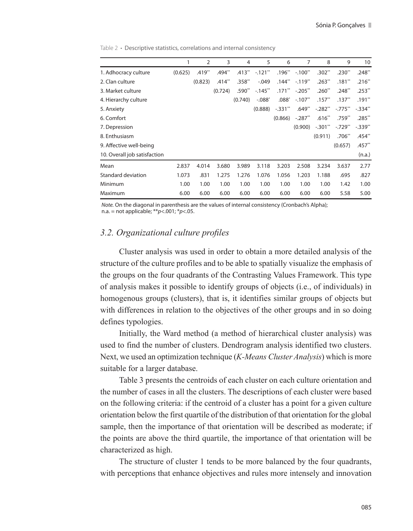1 2 3 4 5 6 7 8 9 10 1. Adhocracy culture (0.625) .419\*\* .494\*\* .413\*\* -.121\*\* .196\*\* -.100\*\* .302\*\* .230\*\* .248\*\* 2. Clan culture (0.823) .414\*\* .358\*\* -.049 .144\*\* -.119\*\* .263\*\* .181\*\* .216\*\* 3. Market culture (0.724) .590\*\* -.145\*\* .171\*\* -.205\*\* .260\*\* .248\*\* .253\*\* 4. Hierarchy culture (0.740) -.088\* .088\* -.107\*\* .157\*\* .137\*\* .191\*\* 5. Anxiety (0.888) -.331\*\* .649\*\* -.282\*\* -.775\*\* -.334\*\* 6. Comfort (0.866) -.287\*\* .616\*\* .759\*\* .285\*\* 7. Depression (0.900) -.301\*\* -.729\*\* -.339\*\* 8. Enthusiasm (0.911) .706\*\* .454\*\* 9. Affective well-being (0.657) .457\*\* 10. Overall job satisfaction (n.a.) Mean 2.837 4.014 3.680 3.989 3.118 3.203 2.508 3.234 3.637 2.77 Standard deviation 1.073 .831 1.275 1.276 1.076 1.056 1.203 1.188 .695 .827 Minimum 1.00 1.00 1.00 1.00 1.00 1.00 1.00 1.00 1.42 1.00 Maximum 6.00 6.00 6.00 6.00 6.00 6.00 6.00 6.00 5.58 5.00

Table 2 **·** Descriptive statistics, correlations and internal consistency

*Note.* On the diagonal in parenthesis are the values of internal consistency (Cronbach's Alpha); n.a. = not applicable; \*\**p*<.001; \**p*<.05.

#### *3.2. Organizational culture profiles*

Cluster analysis was used in order to obtain a more detailed analysis of the structure of the culture profiles and to be able to spatially visualize the emphasis of the groups on the four quadrants of the Contrasting Values Framework. This type of analysis makes it possible to identify groups of objects (i.e., of individuals) in homogenous groups (clusters), that is, it identifies similar groups of objects but with differences in relation to the objectives of the other groups and in so doing defines typologies.

Initially, the Ward method (a method of hierarchical cluster analysis) was used to find the number of clusters. Dendrogram analysis identified two clusters. Next, we used an optimization technique (*K-Means Cluster Analysis*) which is more suitable for a larger database.

Table 3 presents the centroids of each cluster on each culture orientation and the number of cases in all the clusters. The descriptions of each cluster were based on the following criteria: if the centroid of a cluster has a point for a given culture orientation below the first quartile of the distribution of that orientation for the global sample, then the importance of that orientation will be described as moderate; if the points are above the third quartile, the importance of that orientation will be characterized as high.

The structure of cluster 1 tends to be more balanced by the four quadrants, with perceptions that enhance objectives and rules more intensely and innovation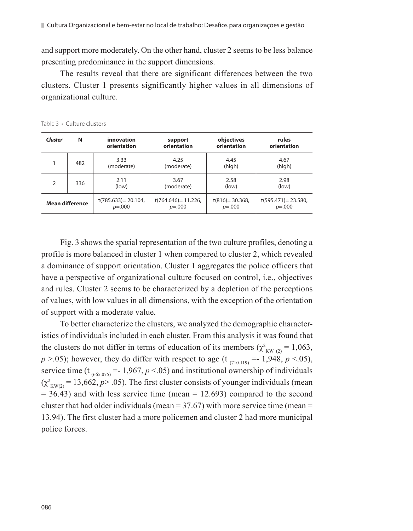and support more moderately. On the other hand, cluster 2 seems to be less balance presenting predominance in the support dimensions.

The results reveal that there are significant differences between the two clusters. Cluster 1 presents significantly higher values in all dimensions of organizational culture.

| <b>Cluster</b>         | N   | innovation<br>orientation              | support<br>orientation               | objectives<br>orientation          | rules<br>orientation                 |
|------------------------|-----|----------------------------------------|--------------------------------------|------------------------------------|--------------------------------------|
|                        | 482 | 3.33<br>(moderate)                     | 4.25<br>(moderate)                   | 4.45<br>(high)                     | 4.67<br>(high)                       |
| $\overline{2}$         | 336 | 2.11<br>(low)                          | 3.67<br>(moderate)                   | 2.58<br>(low)                      | 2.98<br>(low)                        |
| <b>Mean difference</b> |     | $t(785.633) = 20.104$ ,<br>$p = 0.000$ | $t(764.646)=11.226$ ,<br>$p = 0.000$ | $t(816) = 30.368$ ,<br>$p = 0.000$ | $t(595.471) = 23.580$ ,<br>$p = 000$ |

Table 3 **·** Culture clusters

Fig. 3 shows the spatial representation of the two culture profiles, denoting a profile is more balanced in cluster 1 when compared to cluster 2, which revealed a dominance of support orientation. Cluster 1 aggregates the police officers that have a perspective of organizational culture focused on control, i.e., objectives and rules. Cluster 2 seems to be characterized by a depletion of the perceptions of values, with low values in all dimensions, with the exception of the orientation of support with a moderate value.

To better characterize the clusters, we analyzed the demographic characteristics of individuals included in each cluster. From this analysis it was found that the clusters do not differ in terms of education of its members ( $\chi^2_{\text{KW (2)}} = 1,063$ , *p* >.05); however, they do differ with respect to age (t<sub>(710.119)</sub> = -1,948, *p* <.05), service time (t<sub>(665.075)</sub> = 1,967,  $p < 0.05$ ) and institutional ownership of individuals  $(\chi^2_{\text{KW}(2)} = 13,662, p > .05)$ . The first cluster consists of younger individuals (mean  $= 36.43$ ) and with less service time (mean  $= 12.693$ ) compared to the second cluster that had older individuals (mean  $=$  37.67) with more service time (mean  $=$ 13.94). The first cluster had a more policemen and cluster 2 had more municipal police forces.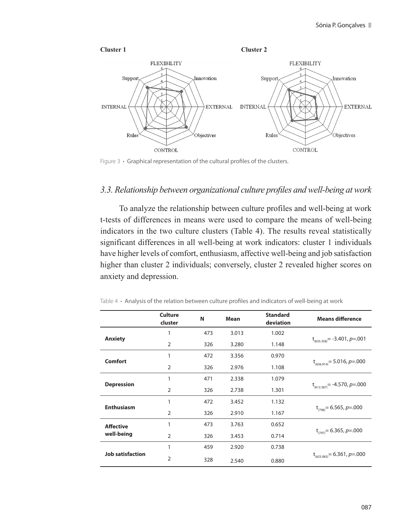

Figure 3 **·** Graphical representation of the cultural profiles of the clusters.

# *3.3. Relationship between organizational culture profiles and well-being at work*

To analyze the relationship between culture profiles and well-being at work t-tests of differences in means were used to compare the means of well-being indicators in the two culture clusters (Table 4). The results reveal statistically significant differences in all well-being at work indicators: cluster 1 individuals have higher levels of comfort, enthusiasm, affective well-being and job satisfaction higher than cluster 2 individuals; conversely, cluster 2 revealed higher scores on anxiety and depression.

|                         | Culture<br>cluster | N   | Mean  | <b>Standard</b><br>deviation | <b>Means difference</b>            |
|-------------------------|--------------------|-----|-------|------------------------------|------------------------------------|
|                         | 1                  | 473 | 3.013 | 1.002                        |                                    |
| Anxiety                 | $\overline{2}$     | 326 | 3.280 | 1.148                        | $t_{(635.358)} = -3.401, p = .001$ |
|                         | 1                  | 472 | 3.356 | 0.970                        |                                    |
| Comfort                 | $\overline{2}$     | 326 | 2.976 | 1.108                        | $t_{(636.914)} = 5.016, p = .000$  |
|                         | 1                  | 471 | 2.338 | 1.079                        |                                    |
| <b>Depression</b>       | $\overline{2}$     | 326 | 2.738 | 1.301                        | $t_{(612.387)} = -4.570, p = .000$ |
| <b>Enthusiasm</b>       | 1                  | 472 | 3.452 | 1.132                        | $t_{(796)} = 6.565, p = .000$      |
|                         | $\overline{2}$     | 326 | 2.910 | 1.167                        |                                    |
| <b>Affective</b>        | 1                  | 473 | 3.763 | 0.652                        |                                    |
| well-being              | $\overline{2}$     | 326 | 3.453 | 0.714                        | $t_{(797)} = 6.365, p = .000$      |
| <b>Job satisfaction</b> | 1                  | 459 | 2.920 | 0.738                        |                                    |
|                         | $\overline{2}$     | 328 | 2.540 | 0.880                        | $t_{(625.083)} = 6.361, p = .000$  |

Table 4 **·** Analysis of the relation between culture profiles and indicators of well-being at work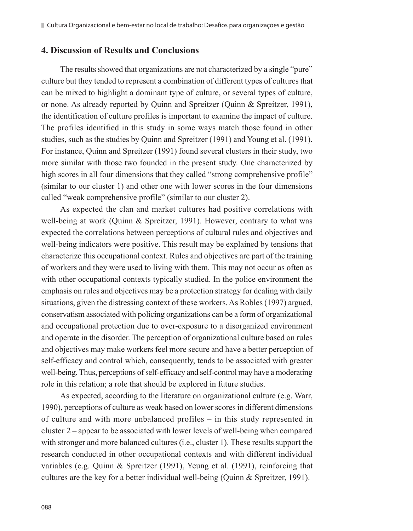# **4. Discussion of Results and Conclusions**

The results showed that organizations are not characterized by a single "pure" culture but they tended to represent a combination of different types of cultures that can be mixed to highlight a dominant type of culture, or several types of culture, or none. As already reported by Quinn and Spreitzer (Quinn & Spreitzer, 1991), the identification of culture profiles is important to examine the impact of culture. The profiles identified in this study in some ways match those found in other studies, such as the studies by Quinn and Spreitzer (1991) and Young et al. (1991). For instance, Quinn and Spreitzer (1991) found several clusters in their study, two more similar with those two founded in the present study. One characterized by high scores in all four dimensions that they called "strong comprehensive profile" (similar to our cluster 1) and other one with lower scores in the four dimensions called "weak comprehensive profile" (similar to our cluster 2).

As expected the clan and market cultures had positive correlations with well-being at work (Quinn & Spreitzer, 1991). However, contrary to what was expected the correlations between perceptions of cultural rules and objectives and well-being indicators were positive. This result may be explained by tensions that characterize this occupational context. Rules and objectives are part of the training of workers and they were used to living with them. This may not occur as often as with other occupational contexts typically studied. In the police environment the emphasis on rules and objectives may be a protection strategy for dealing with daily situations, given the distressing context of these workers. As Robles (1997) argued, conservatism associated with policing organizations can be a form of organizational and occupational protection due to over-exposure to a disorganized environment and operate in the disorder. The perception of organizational culture based on rules and objectives may make workers feel more secure and have a better perception of self-efficacy and control which, consequently, tends to be associated with greater well-being. Thus, perceptions of self-efficacy and self-control may have a moderating role in this relation; a role that should be explored in future studies.

As expected, according to the literature on organizational culture (e.g. Warr, 1990), perceptions of culture as weak based on lower scores in different dimensions of culture and with more unbalanced profiles – in this study represented in cluster 2 – appear to be associated with lower levels of well-being when compared with stronger and more balanced cultures (i.e., cluster 1). These results support the research conducted in other occupational contexts and with different individual variables (e.g. Quinn & Spreitzer (1991), Yeung et al. (1991), reinforcing that cultures are the key for a better individual well-being (Quinn & Spreitzer, 1991).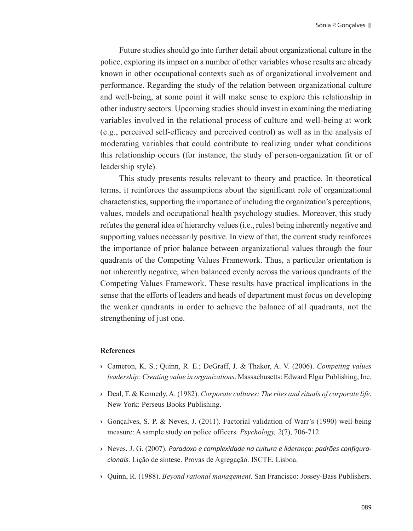Future studies should go into further detail about organizational culture in the police, exploring its impact on a number of other variables whose results are already known in other occupational contexts such as of organizational involvement and performance. Regarding the study of the relation between organizational culture and well-being, at some point it will make sense to explore this relationship in other industry sectors. Upcoming studies should invest in examining the mediating variables involved in the relational process of culture and well-being at work (e.g., perceived self-efficacy and perceived control) as well as in the analysis of moderating variables that could contribute to realizing under what conditions this relationship occurs (for instance, the study of person-organization fit or of leadership style).

This study presents results relevant to theory and practice. In theoretical terms, it reinforces the assumptions about the significant role of organizational characteristics, supporting the importance of including the organization's perceptions, values, models and occupational health psychology studies. Moreover, this study refutes the general idea of hierarchy values (i.e., rules) being inherently negative and supporting values necessarily positive. In view of that, the current study reinforces the importance of prior balance between organizational values through the four quadrants of the Competing Values Framework. Thus, a particular orientation is not inherently negative, when balanced evenly across the various quadrants of the Competing Values Framework. These results have practical implications in the sense that the efforts of leaders and heads of department must focus on developing the weaker quadrants in order to achieve the balance of all quadrants, not the strengthening of just one.

#### **References**

- **›** Cameron, K. S.; Quinn, R. E.; DeGraff, J. & Thakor, A. V. (2006). *Competing values leadership: Creating value in organizations*. Massachusetts: Edward Elgar Publishing, Inc.
- **›** Deal, T. & Kennedy, A. (1982). *Corporate cultures: The rites and rituals of corporate life*. New York: Perseus Books Publishing.
- **›** Gonçalves, S. P. & Neves, J. (2011). Factorial validation of Warr's (1990) well-being measure: A sample study on police officers. *Psychology, 2*(7), 706-712.
- **›** Neves, J. G. (2007). *Paradoxo e complexidade na cultura e liderança: padrões configuracionais*. Lição de síntese. Provas de Agregação. ISCTE, Lisboa.
- **›** Quinn, R. (1988). *Beyond rational management*. San Francisco: Jossey-Bass Publishers.